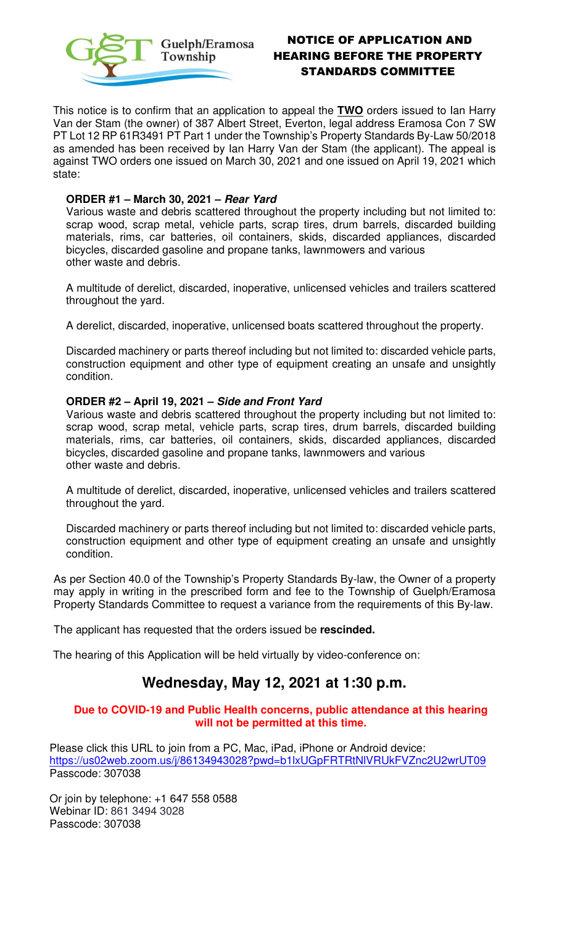

## NOTICE OF APPLICATION AND HEARING BEFORE THE PROPERTY STANDARDS COMMITTEE

This notice is to confirm that an application to appeal the **TWO** orders issued to Ian Harry Van der Stam (the owner) of 387 Albert Street, Everton, legal address Eramosa Con 7 SW PT Lot 12 RP 61R3491 PT Part 1 under the Township's Property Standards By-Law 50/2018 as amended has been received by Ian Harry Van der Stam (the applicant). The appeal is against TWO orders one issued on March 30, 2021 and one issued on April 19, 2021 which state:

### **ORDER #1 – March 30, 2021 – Rear Yard**

Various waste and debris scattered throughout the property including but not limited to: scrap wood, scrap metal, vehicle parts, scrap tires, drum barrels, discarded building materials, rims, car batteries, oil containers, skids, discarded appliances, discarded bicycles, discarded gasoline and propane tanks, lawnmowers and various other waste and debris.

A multitude of derelict, discarded, inoperative, unlicensed vehicles and trailers scattered throughout the yard.

A derelict, discarded, inoperative, unlicensed boats scattered throughout the property.

Discarded machinery or parts thereof including but not limited to: discarded vehicle parts, construction equipment and other type of equipment creating an unsafe and unsightly condition.

### **ORDER #2 – April 19, 2021 – Side and Front Yard**

Various waste and debris scattered throughout the property including but not limited to: scrap wood, scrap metal, vehicle parts, scrap tires, drum barrels, discarded building materials, rims, car batteries, oil containers, skids, discarded appliances, discarded bicycles, discarded gasoline and propane tanks, lawnmowers and various other waste and debris.

A multitude of derelict, discarded, inoperative, unlicensed vehicles and trailers scattered throughout the yard.

Discarded machinery or parts thereof including but not limited to: discarded vehicle parts, construction equipment and other type of equipment creating an unsafe and unsightly condition.

As per Section 40.0 of the Township's Property Standards By-law, the Owner of a property may apply in writing in the prescribed form and fee to the Township of Guelph/Eramosa Property Standards Committee to request a variance from the requirements of this By-law.

The applicant has requested that the orders issued be **rescinded.**

The hearing of this Application will be held virtually by video-conference on:

# **Wednesday, May 12, 2021 at 1:30 p.m.**

#### **Due to COVID-19 and Public Health concerns, public attendance at this hearing will not be permitted at this time.**

Please click this URL to join from a PC, Mac, iPad, iPhone or Android device: https://us02web.zoom.us/j/86134943028?pwd=b1lxUGpFRTRtNlVRUkFVZnc2U2wrUT09 Passcode: 307038

Or join by telephone: +1 647 558 0588 Webinar ID: 861 3494 3028 Passcode: 307038